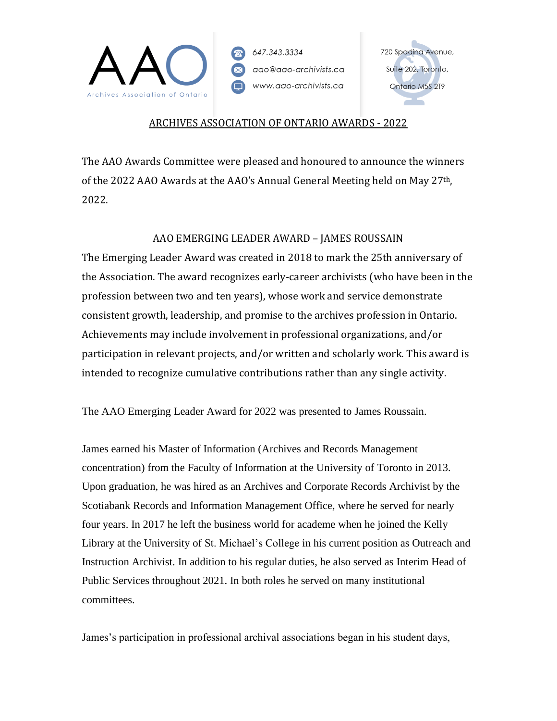

# 720 Spadina Avenue, Suite 202, Toronto, Ontario M5S 2T9

## ARCHIVES ASSOCIATION OF ONTARIO AWARDS - 2022

The AAO Awards Committee were pleased and honoured to announce the winners of the 2022 AAO Awards at the AAO's Annual General Meeting held on May 27th, 2022.

# AAO EMERGING LEADER AWARD – JAMES ROUSSAIN

The Emerging Leader Award was created in 2018 to mark the 25th anniversary of the Association. The award recognizes early-career archivists (who have been in the profession between two and ten years), whose work and service demonstrate consistent growth, leadership, and promise to the archives profession in Ontario. Achievements may include involvement in professional organizations, and/or participation in relevant projects, and/or written and scholarly work. This award is intended to recognize cumulative contributions rather than any single activity.

The AAO Emerging Leader Award for 2022 was presented to James Roussain.

James earned his Master of Information (Archives and Records Management concentration) from the Faculty of Information at the University of Toronto in 2013. Upon graduation, he was hired as an Archives and Corporate Records Archivist by the Scotiabank Records and Information Management Office, where he served for nearly four years. In 2017 he left the business world for academe when he joined the Kelly Library at the University of St. Michael's College in his current position as Outreach and Instruction Archivist. In addition to his regular duties, he also served as Interim Head of Public Services throughout 2021. In both roles he served on many institutional committees.

James's participation in professional archival associations began in his student days,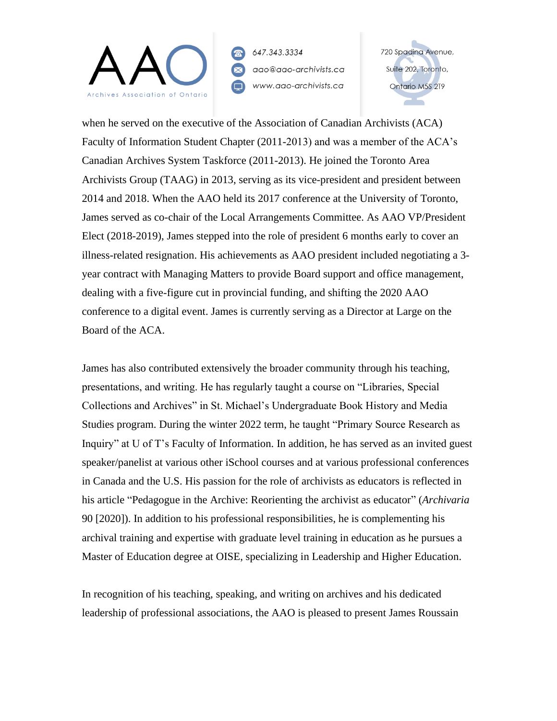

720 Spadina Avenue, Suite 202, Toronto, Ontario M5S 2T9

when he served on the executive of the Association of Canadian Archivists (ACA) Faculty of Information Student Chapter (2011-2013) and was a member of the ACA's Canadian Archives System Taskforce (2011-2013). He joined the Toronto Area Archivists Group (TAAG) in 2013, serving as its vice-president and president between 2014 and 2018. When the AAO held its 2017 conference at the University of Toronto, James served as co-chair of the Local Arrangements Committee. As AAO VP/President Elect (2018-2019), James stepped into the role of president 6 months early to cover an illness-related resignation. His achievements as AAO president included negotiating a 3 year contract with Managing Matters to provide Board support and office management, dealing with a five-figure cut in provincial funding, and shifting the 2020 AAO conference to a digital event. James is currently serving as a Director at Large on the Board of the ACA.

James has also contributed extensively the broader community through his teaching, presentations, and writing. He has regularly taught a course on "Libraries, Special Collections and Archives" in St. Michael's Undergraduate Book History and Media Studies program. During the winter 2022 term, he taught "Primary Source Research as Inquiry" at U of T's Faculty of Information. In addition, he has served as an invited guest speaker/panelist at various other iSchool courses and at various professional conferences in Canada and the U.S. His passion for the role of archivists as educators is reflected in his article "Pedagogue in the Archive: Reorienting the archivist as educator" (*Archivaria* 90 [2020]). In addition to his professional responsibilities, he is complementing his archival training and expertise with graduate level training in education as he pursues a Master of Education degree at OISE, specializing in Leadership and Higher Education.

In recognition of his teaching, speaking, and writing on archives and his dedicated leadership of professional associations, the AAO is pleased to present James Roussain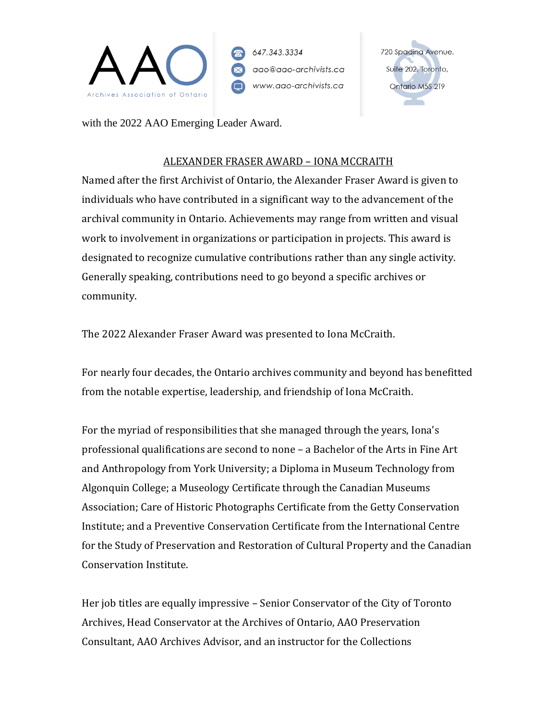

720 Spadina Avenue, Suite 202, Toronto, Ontario M5S 2T9

with the 2022 AAO Emerging Leader Award.

#### ALEXANDER FRASER AWARD – IONA MCCRAITH

Named after the first Archivist of Ontario, the Alexander Fraser Award is given to individuals who have contributed in a significant way to the advancement of the archival community in Ontario. Achievements may range from written and visual work to involvement in organizations or participation in projects. This award is designated to recognize cumulative contributions rather than any single activity. Generally speaking, contributions need to go beyond a specific archives or community.

The 2022 Alexander Fraser Award was presented to Iona McCraith.

For nearly four decades, the Ontario archives community and beyond has benefitted from the notable expertise, leadership, and friendship of Iona McCraith.

For the myriad of responsibilities that she managed through the years, Iona's professional qualifications are second to none – a Bachelor of the Arts in Fine Art and Anthropology from York University; a Diploma in Museum Technology from Algonquin College; a Museology Certificate through the Canadian Museums Association; Care of Historic Photographs Certificate from the Getty Conservation Institute; and a Preventive Conservation Certificate from the International Centre for the Study of Preservation and Restoration of Cultural Property and the Canadian Conservation Institute.

Her job titles are equally impressive – Senior Conservator of the City of Toronto Archives, Head Conservator at the Archives of Ontario, AAO Preservation Consultant, AAO Archives Advisor, and an instructor for the Collections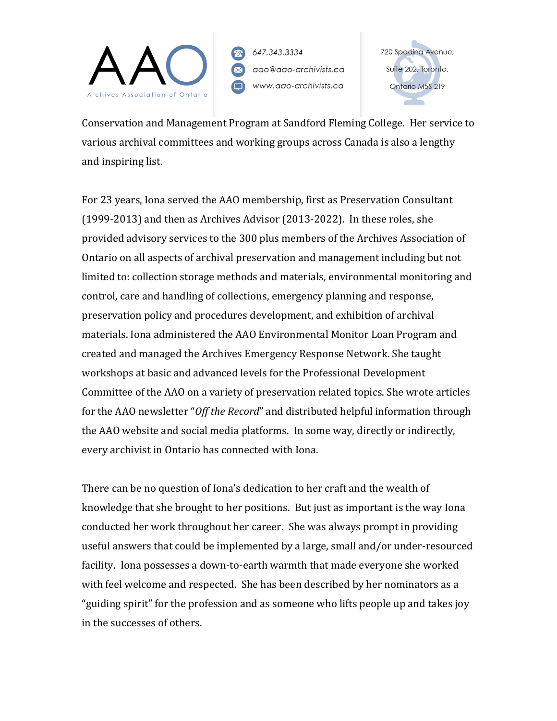

720 Spadina Avenue, Suite 202, Toronto, Ontario M5S 2T9

Conservation and Management Program at Sandford Fleming College. Her service to various archival committees and working groups across Canada is also a lengthy and inspiring list.

For 23 years, Iona served the AAO membership, first as Preservation Consultant (1999-2013) and then as Archives Advisor (2013-2022). In these roles, she provided advisory services to the 300 plus members of the Archives Association of Ontario on all aspects of archival preservation and management including but not limited to: collection storage methods and materials, environmental monitoring and control, care and handling of collections, emergency planning and response, preservation policy and procedures development, and exhibition of archival materials. Iona administered the AAO Environmental Monitor Loan Program and created and managed the Archives Emergency Response Network. She taught workshops at basic and advanced levels for the Professional Development Committee of the AAO on a variety of preservation related topics. She wrote articles for the AAO newsletter "*Off the Record*" and distributed helpful information through the AAO website and social media platforms. In some way, directly or indirectly, every archivist in Ontario has connected with Iona.

There can be no question of Iona's dedication to her craft and the wealth of knowledge that she brought to her positions. But just as important is the way Iona conducted her work throughout her career. She was always prompt in providing useful answers that could be implemented by a large, small and/or under-resourced facility. Iona possesses a down-to-earth warmth that made everyone she worked with feel welcome and respected. She has been described by her nominators as a "guiding spirit" for the profession and as someone who lifts people up and takes joy in the successes of others.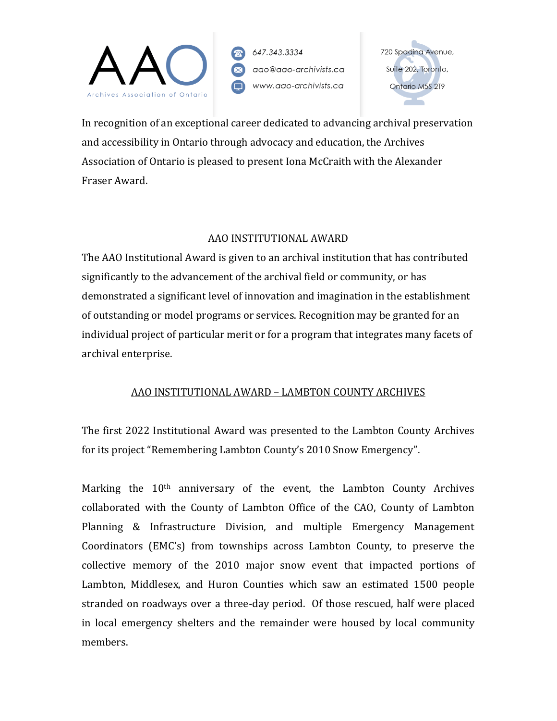

720 Spadina Avenue, Suite 202, Toronto, Ontario M5S 2T9

In recognition of an exceptional career dedicated to advancing archival preservation and accessibility in Ontario through advocacy and education, the Archives Association of Ontario is pleased to present Iona McCraith with the Alexander Fraser Award.

#### AAO INSTITUTIONAL AWARD

The AAO Institutional Award is given to an archival institution that has contributed significantly to the advancement of the archival field or community, or has demonstrated a significant level of innovation and imagination in the establishment of outstanding or model programs or services. Recognition may be granted for an individual project of particular merit or for a program that integrates many facets of archival enterprise.

# AAO INSTITUTIONAL AWARD – LAMBTON COUNTY ARCHIVES

The first 2022 Institutional Award was presented to the Lambton County Archives for its project "Remembering Lambton County's 2010 Snow Emergency".

Marking the  $10<sup>th</sup>$  anniversary of the event, the Lambton County Archives collaborated with the County of Lambton Office of the CAO, County of Lambton Planning & Infrastructure Division, and multiple Emergency Management Coordinators (EMC's) from townships across Lambton County, to preserve the collective memory of the 2010 major snow event that impacted portions of Lambton, Middlesex, and Huron Counties which saw an estimated 1500 people stranded on roadways over a three-day period. Of those rescued, half were placed in local emergency shelters and the remainder were housed by local community members.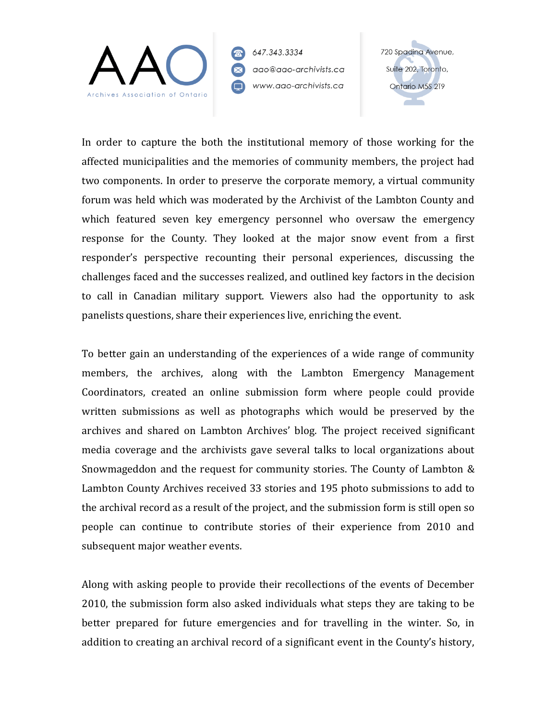

720 Spadina Avenue, Suite 202, Toronto, Ontario M5S 2T9

In order to capture the both the institutional memory of those working for the affected municipalities and the memories of community members, the project had two components. In order to preserve the corporate memory, a virtual community forum was held which was moderated by the Archivist of the Lambton County and which featured seven key emergency personnel who oversaw the emergency response for the County. They looked at the major snow event from a first responder's perspective recounting their personal experiences, discussing the challenges faced and the successes realized, and outlined key factors in the decision to call in Canadian military support. Viewers also had the opportunity to ask panelists questions, share their experiences live, enriching the event.

To better gain an understanding of the experiences of a wide range of community members, the archives, along with the Lambton Emergency Management Coordinators, created an online submission form where people could provide written submissions as well as photographs which would be preserved by the archives and shared on Lambton Archives' blog. The project received significant media coverage and the archivists gave several talks to local organizations about Snowmageddon and the request for community stories. The County of Lambton & Lambton County Archives received 33 stories and 195 photo submissions to add to the archival record as a result of the project, and the submission form is still open so people can continue to contribute stories of their experience from 2010 and subsequent major weather events.

Along with asking people to provide their recollections of the events of December 2010, the submission form also asked individuals what steps they are taking to be better prepared for future emergencies and for travelling in the winter. So, in addition to creating an archival record of a significant event in the County's history,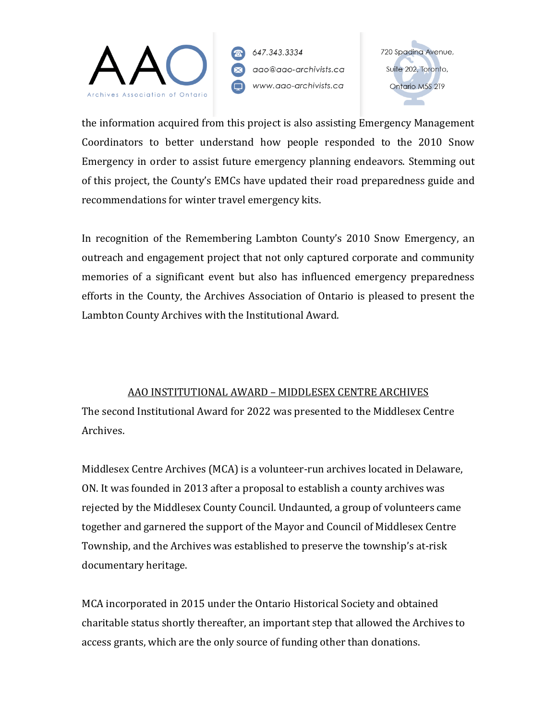

720 Spadina Avenue, Suite 202, Toronto, Ontario M5S 2T9

the information acquired from this project is also assisting Emergency Management Coordinators to better understand how people responded to the 2010 Snow Emergency in order to assist future emergency planning endeavors. Stemming out of this project, the County's EMCs have updated their road preparedness guide and recommendations for winter travel emergency kits.

In recognition of the Remembering Lambton County's 2010 Snow Emergency, an outreach and engagement project that not only captured corporate and community memories of a significant event but also has influenced emergency preparedness efforts in the County, the Archives Association of Ontario is pleased to present the Lambton County Archives with the Institutional Award.

### AAO INSTITUTIONAL AWARD – MIDDLESEX CENTRE ARCHIVES

The second Institutional Award for 2022 was presented to the Middlesex Centre Archives.

Middlesex Centre Archives (MCA) is a volunteer-run archives located in Delaware, ON. It was founded in 2013 after a proposal to establish a county archives was rejected by the Middlesex County Council. Undaunted, a group of volunteers came together and garnered the support of the Mayor and Council of Middlesex Centre Township, and the Archives was established to preserve the township's at-risk documentary heritage.

MCA incorporated in 2015 under the Ontario Historical Society and obtained charitable status shortly thereafter, an important step that allowed the Archives to access grants, which are the only source of funding other than donations.